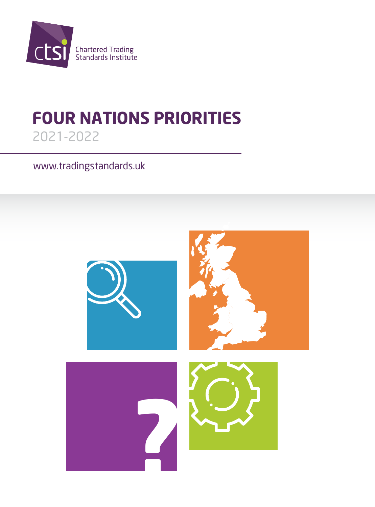

# **FOUR NATIONS PRIORITIES** 2021-2022

www.tradingstandards.uk

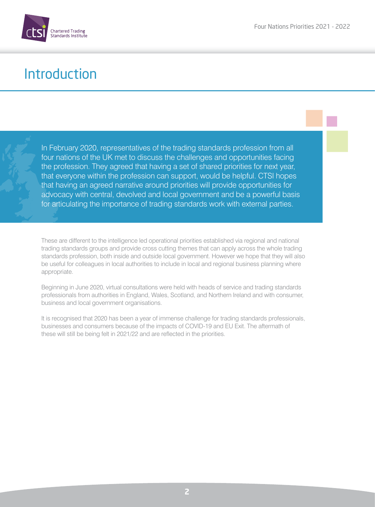

### Introduction

In February 2020, representatives of the trading standards profession from all four nations of the UK met to discuss the challenges and opportunities facing the profession. They agreed that having a set of shared priorities for next year, that everyone within the profession can support, would be helpful. CTSI hopes that having an agreed narrative around priorities will provide opportunities for advocacy with central, devolved and local government and be a powerful basis for articulating the importance of trading standards work with external parties.

These are different to the intelligence led operational priorities established via regional and national trading standards groups and provide cross cutting themes that can apply across the whole trading standards profession, both inside and outside local government. However we hope that they will also be useful for colleagues in local authorities to include in local and regional business planning where appropriate.

Beginning in June 2020, virtual consultations were held with heads of service and trading standards professionals from authorities in England, Wales, Scotland, and Northern Ireland and with consumer, business and local government organisations.

It is recognised that 2020 has been a year of immense challenge for trading standards professionals, businesses and consumers because of the impacts of COVID-19 and EU Exit. The aftermath of these will still be being felt in 2021/22 and are reflected in the priorities.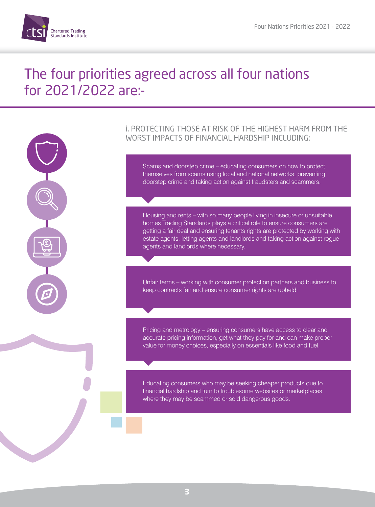



### i. PROTECTING THOSE AT RISK OF THE HIGHEST HARM FROM THE WORST IMPACTS OF FINANCIAL HARDSHIP INCLUDING:

Scams and doorstep crime – educating consumers on how to protect themselves from scams using local and national networks, preventing doorstep crime and taking action against fraudsters and scammers.

Housing and rents – with so many people living in insecure or unsuitable homes Trading Standards plays a critical role to ensure consumers are getting a fair deal and ensuring tenants rights are protected by working with estate agents, letting agents and landlords and taking action against rogue agents and landlords where necessary.

Unfair terms – working with consumer protection partners and business to keep contracts fair and ensure consumer rights are upheld.

Pricing and metrology – ensuring consumers have access to clear and accurate pricing information, get what they pay for and can make proper value for money choices, especially on essentials like food and fuel.

Educating consumers who may be seeking cheaper products due to financial hardship and turn to troublesome websites or marketplaces where they may be scammed or sold dangerous goods.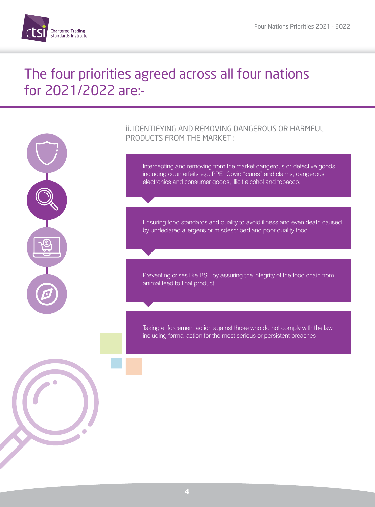



 $\bullet$ 

### ii. IDENTIFYING AND REMOVING DANGEROUS OR HARMFUL PRODUCTS FROM THE MARKET :

Intercepting and removing from the market dangerous or defective goods, including counterfeits e.g. PPE, Covid "cures" and claims, dangerous electronics and consumer goods, illicit alcohol and tobacco.

Ensuring food standards and quality to avoid illness and even death caused by undeclared allergens or misdescribed and poor quality food.

Preventing crises like BSE by assuring the integrity of the food chain from animal feed to final product.

Taking enforcement action against those who do not comply with the law, including formal action for the most serious or persistent breaches.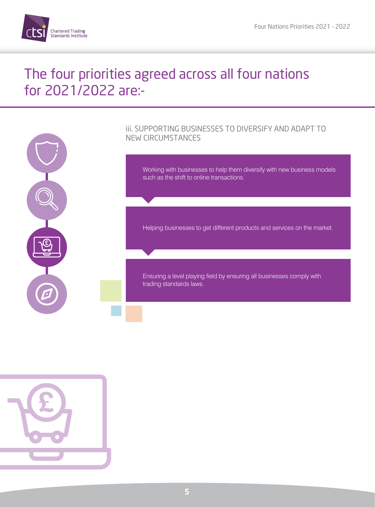



# iii. SUPPORTING BUSINESSES TO DIVERSIFY AND ADAPT TO

Working with businesses to help them diversify with new business models such as the shift to online transactions.

Helping businesses to get different products and services on the market.

Ensuring a level playing field by ensuring all businesses comply with

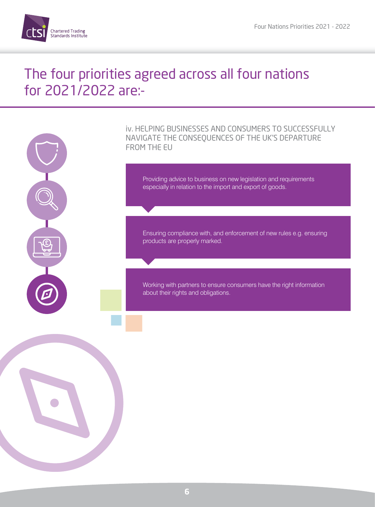

iv. HELPING BUSINESSES AND CONSUMERS TO SUCCESSFULLY NAVIGATE THE CONSEQUENCES OF THE UK'S DEPARTURE FROM THE EU

Providing advice to business on new legislation and requirements especially in relation to the import and export of goods.

Ensuring compliance with, and enforcement of new rules e.g. ensuring products are properly marked.

Working with partners to ensure consumers have the right information about their rights and obligations.

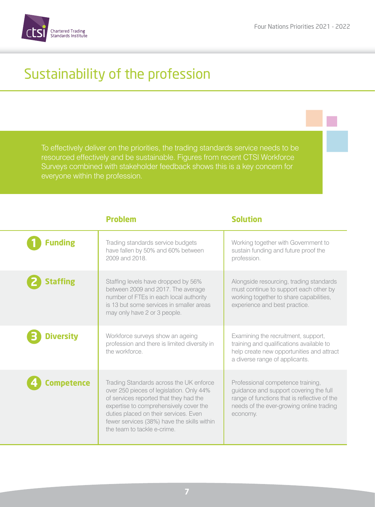

# Sustainability of the profession

Surveys combined with stakeholder feedback shows this is a key concern for

**Problem Solution** 

| <b>Funding</b> | Trading standards service budgets<br>have fallen by 50% and 60% between<br>2009 and 2018                                                                                                                                                                                                       | Working together with Government to<br>sustain funding and future proof the<br>profession.                                                                                          |
|----------------|------------------------------------------------------------------------------------------------------------------------------------------------------------------------------------------------------------------------------------------------------------------------------------------------|-------------------------------------------------------------------------------------------------------------------------------------------------------------------------------------|
| taffing        | Staffing levels have dropped by 56%<br>between 2009 and 2017. The average<br>number of FTEs in each local authority<br>is 13 but some services in smaller areas<br>may only have 2 or 3 people.                                                                                                | Alongside resourcing, trading standards<br>must continue to support each other by<br>working together to share capabilities,<br>experience and best practice.                       |
| iversitv       | Workforce surveys show an ageing<br>profession and there is limited diversity in<br>the workforce                                                                                                                                                                                              | Examining the recruitment, support,<br>training and qualifications available to<br>help create new opportunities and attract<br>a diverse range of applicants.                      |
| mpetence       | Trading Standards across the UK enforce<br>over 250 pieces of legislation. Only 44%<br>of services reported that they had the<br>expertise to comprehensively cover the<br>duties placed on their services. Even<br>fewer services (38%) have the skills within<br>the team to tackle e-crime. | Professional competence training,<br>guidance and support covering the full<br>range of functions that is reflective of the<br>needs of the ever-growing online trading<br>economy. |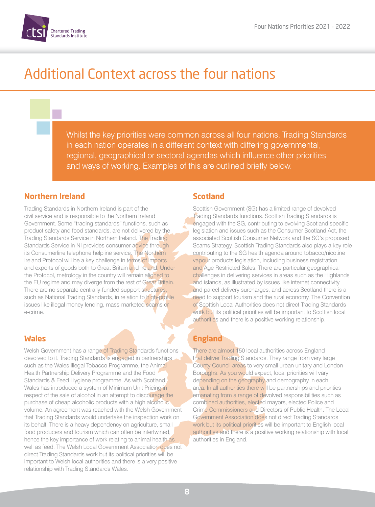

# Additional Context across the four nations

Whilst the key priorities were common across all four nations, Trading Standards in each nation operates in a different context with differing governmental, regional, geographical or sectoral agendas which influence other priorities and ways of working. Examples of this are outlined briefly below.

#### **Northern Ireland**

Trading Standards in Northern Ireland is part of the civil service and is responsible to the Northern Ireland Government. Some "trading standards" functions, such as product safety and food standards, are not delivered by the Trading Standards Service in Northern Ireland. The Trading Standards Service in NI provides consumer advice through its Consumerline telephone helpline service. The Northern Ireland Protocol will be a key challenge in terms of imports and exports of goods both to Great Britain and Ireland. Under the Protocol, metrology in the country will remain aligned to the EU regime and may diverge from the rest of Great Britain. There are no separate centrally-funded support structures, such as National Trading Standards, in relation to high-profile issues like illegal money lending, mass-marketed scams or e-crime.

#### **Wales**

Welsh Government has a range of Trading Standards functions devolved to it. Trading Standards is engaged in partnerships such as the Wales Illegal Tobacco Programme, the Animal Health Partnership Delivery Programme and the Food Standards & Feed Hygiene programme. As with Scotland, Wales has introduced a system of Minimum Unit Pricing in respect of the sale of alcohol in an attempt to discourage the purchase of cheap alcoholic products with a high alcoholic volume. An agreement was reached with the Welsh Government that Trading Standards would undertake the inspection work on its behalf. There is a heavy dependency on agriculture, small food producers and tourism which can often be intertwined, hence the key importance of work relating to animal health as well as feed. The Welsh Local Government Association does not direct Trading Standards work but its political priorities will be important to Welsh local authorities and there is a very positive relationship with Trading Standards Wales.

#### **Scotland**

Scottish Government (SG) has a limited range of devolved Trading Standards functions. Scottish Trading Standards is engaged with the SG, contributing to evolving Scotland specific legislation and issues such as the Consumer Scotland Act, the associated Scottish Consumer Network and the SG's proposed Scams Strategy. Scottish Trading Standards also plays a key role contributing to the SG health agenda around tobacco/nicotine vapour products legislation, including business registration and Age Restricted Sales. There are particular geographical challenges in delivering services in areas such as the Highlands and islands, as illustrated by issues like internet connectivity and parcel delivery surcharges, and across Scotland there is a need to support tourism and the rural economy. The Convention of Scottish Local Authorities does not direct Trading Standards work but its political priorities will be important to Scottish local authorities and there is a positive working relationship.

### **England**

There are almost 150 local authorities across England that deliver Trading Standards. They range from very large County Council areas to very small urban unitary and London Boroughs. As you would expect, local priorities will vary depending on the geography and demography in each area. In all authorities there will be partnerships and priorities emanating from a range of devolved responsibilities such as combined authorities, elected mayors, elected Police and Crime Commissioners and Directors of Public Health. The Local Government Association does not direct Trading Standards work but its political priorities will be important to English local authorities and there is a positive working relationship with local authorities in England.